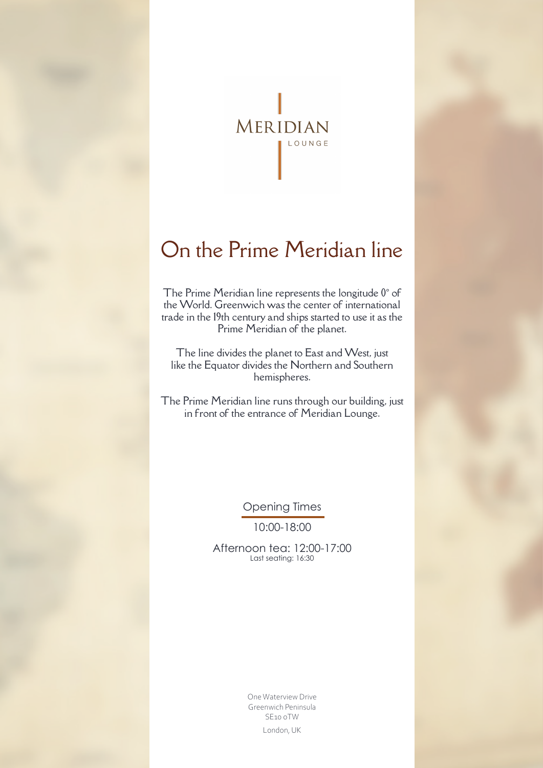

# On the Prime Meridian line

The Prime Meridian line represents the longitude 0º of the World. Greenwich was the center of international trade in the 19th century and ships started to use it as the Prime Meridian of the planet.

The line divides the planet to East and West, just like the Equator divides the Northern and Southern hemispheres.

The Prime Meridian line runs through our building, just in front of the entrance of Meridian Lounge.

Opening Times

10:00-18:00

Afternoon tea: 12:00-17:00 Last seating: 16:30

> One Waterview Drive Greenwich Peninsula SE10 0TW London, UK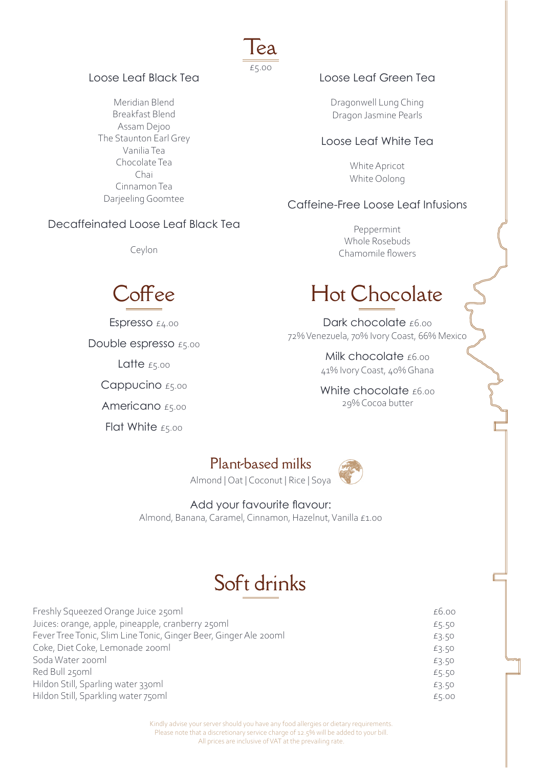### Loose Leaf Black Tea

Meridian Blend Breakfast Blend Assam Dejoo The Staunton Earl Grey Vanilia Tea Chocolate Tea Chai Cinnamon Tea Darjeeling Goomtee

### Decaffeinated Loose Leaf Black Tea

Ceylon



Espresso £4.00

Double espresso £5.00

Latte  $E5.00$ 

Cappucino £5.00

Americano £5.00

Flat White £5.00

## Loose Leaf Green Tea

Dragonwell Lung Ching Dragon Jasmine Pearls

#### Loose Leaf White Tea

White Apricot White Oolong

## Caffeine-Free Loose Leaf Infusions

Peppermint Whole Rosebuds Chamomile flowers

# Hot Chocolate

Dark chocolate £6.00 72% Venezuela, 70% Ivory Coast, 66% Mexico

> Milk chocolate  $£6.00$ 41% Ivory Coast, 40% Ghana

White chocolate £6.00 29% Cocoa butter

## Plant-based milks

Tea

£5.00

Almond | Oat | Coconut | Rice | Soya



## Add your favourite flavour:

Almond, Banana, Caramel, Cinnamon, Hazelnut, Vanilla £1.00

## Soft drinks

| Freshly Squeezed Orange Juice 250ml                              | £6.00 |
|------------------------------------------------------------------|-------|
| Juices: orange, apple, pineapple, cranberry 250ml                | £5.50 |
| Fever Tree Tonic, Slim Line Tonic, Ginger Beer, Ginger Ale 200ml | £3.50 |
| Coke, Diet Coke, Lemonade 200ml                                  | £3.50 |
| Soda Water 200ml                                                 | £3.50 |
| Red Bull 250ml                                                   | £5.50 |
| Hildon Still, Sparling water 330ml                               | £3.50 |
| Hildon Still, Sparkling water 750ml                              | £5.00 |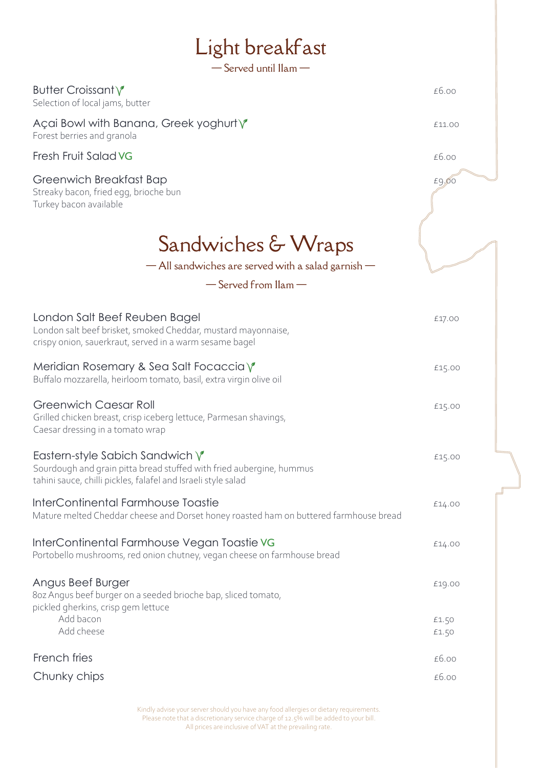| Light breakfast<br>$-$ Served until $\text{Ham}-$                                                                                                                                  |                |
|------------------------------------------------------------------------------------------------------------------------------------------------------------------------------------|----------------|
|                                                                                                                                                                                    |                |
| Butter Croissant Y<br>Selection of local jams, butter                                                                                                                              | £6.00          |
| Açai Bowl with Banana, Greek yoghurt \<br>Forest berries and granola                                                                                                               | £11.00         |
| Fresh Fruit Salad VG                                                                                                                                                               | £6.00          |
| Greenwich Breakfast Bap<br>Streaky bacon, fried egg, brioche bun<br>Turkey bacon available                                                                                         | £9,00          |
| Sandwiches & Wraps<br>- All sandwiches are served with a salad garnish -<br>$-$ Served from $\text{llam}$ $-$                                                                      |                |
| London Salt Beef Reuben Bagel<br>London salt beef brisket, smoked Cheddar, mustard mayonnaise,<br>crispy onion, sauerkraut, served in a warm sesame bagel                          | £17.00         |
| Meridian Rosemary & Sea Salt Focaccia $\sqrt{\ }$<br>Buffalo mozzarella, heirloom tomato, basil, extra virgin olive oil                                                            | £15.00         |
| <b>Greenwich Caesar Roll</b><br>Grilled chicken breast, crisp iceberg lettuce, Parmesan shavings,<br>Caesar dressing in a tomato wrap                                              | £15.00         |
| Eastern-style Sabich Sandwich $\sqrt{\ }$<br>Sourdough and grain pitta bread stuffed with fried aubergine, hummus<br>tahini sauce, chilli pickles, falafel and Israeli style salad | £15.00         |
| InterContinental Farmhouse Toastie<br>Mature melted Cheddar cheese and Dorset honey roasted ham on buttered farmhouse bread                                                        | £14.00         |
| InterContinental Farmhouse Vegan Toastie VG<br>Portobello mushrooms, red onion chutney, vegan cheese on farmhouse bread                                                            | £14.00         |
| Angus Beef Burger<br>8oz Angus beef burger on a seeded brioche bap, sliced tomato,<br>pickled gherkins, crisp gem lettuce                                                          | £19.00         |
| Add bacon<br>Add cheese                                                                                                                                                            | £1.50<br>£1.50 |
| French fries                                                                                                                                                                       | £6.00          |
| Chunky chips                                                                                                                                                                       | £6.00          |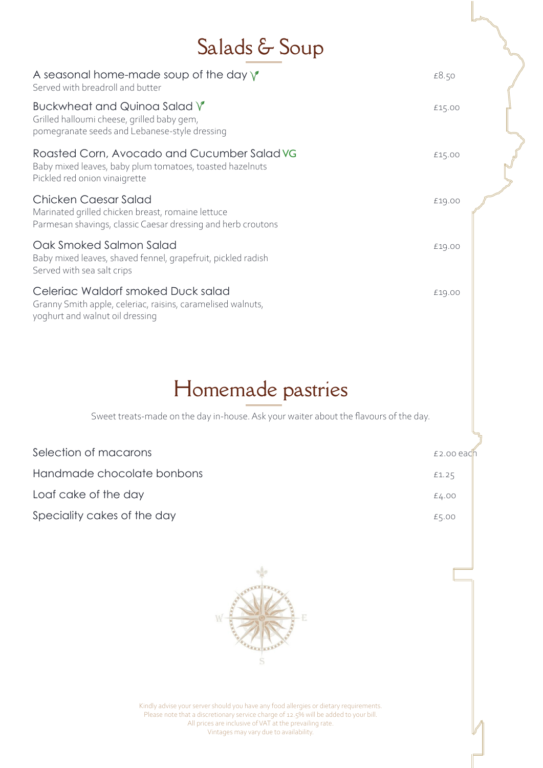# Salads & Soup

| A seasonal home-made soup of the day $\sqrt{\ }$<br>Served with breadroll and butter                                                      | £8.50  |  |
|-------------------------------------------------------------------------------------------------------------------------------------------|--------|--|
| Buckwheat and Quinoa Salad V<br>Grilled halloumi cheese, grilled baby gem,<br>pomegranate seeds and Lebanese-style dressing               | £15.00 |  |
| Roasted Corn, Avocado and Cucumber Salad VG<br>Baby mixed leaves, baby plum tomatoes, toasted hazelnuts<br>Pickled red onion vinaigrette  | £15.00 |  |
| Chicken Caesar Salad<br>Marinated grilled chicken breast, romaine lettuce<br>Parmesan shavings, classic Caesar dressing and herb croutons | £19.00 |  |
| Oak Smoked Salmon Salad<br>Baby mixed leaves, shaved fennel, grapefruit, pickled radish<br>Served with sea salt crips                     | £19.00 |  |
| Celeriac Waldorf smoked Duck salad<br>Granny Smith apple, celeriac, raisins, caramelised walnuts,<br>yoghurt and walnut oil dressing      | £19.00 |  |

## Homemade pastries

Sweet treats-made on the day in-house. Ask your waiter about the flavours of the day.

| Selection of macarons       | $£2.00$ each |
|-----------------------------|--------------|
| Handmade chocolate bonbons  | £1.25        |
| Loaf cake of the day        | E4.00        |
| Speciality cakes of the day | £5.00        |

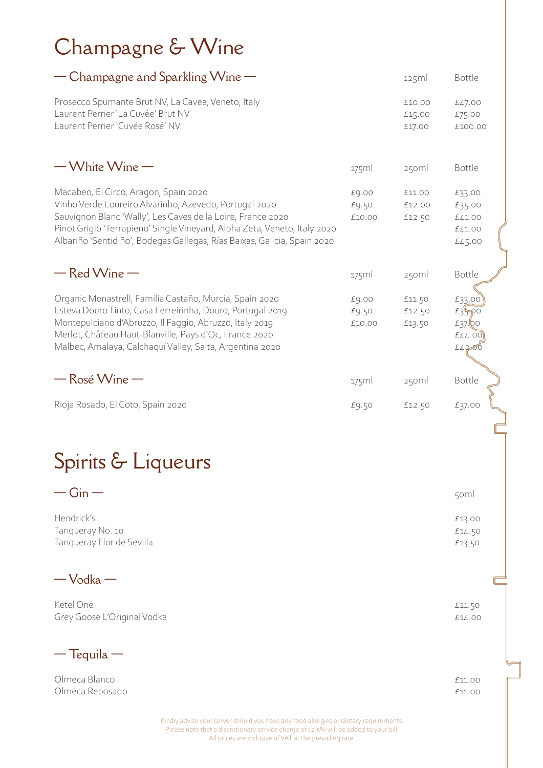# Champagne & Wine

| - Champagne and Sparkling Wine -                                                                                                                                                                                                                                                                                        |                          | 125ml                      | <b>Bottle</b>                                   |
|-------------------------------------------------------------------------------------------------------------------------------------------------------------------------------------------------------------------------------------------------------------------------------------------------------------------------|--------------------------|----------------------------|-------------------------------------------------|
| Prosecco Spumante Brut NV, La Cavea, Veneto, Italy<br>Laurent Perrier 'La Cuvée' Brut NV<br>Laurent Perrier 'Cuvée Rosé' NV                                                                                                                                                                                             |                          | £10.00<br>£15.00<br>£17.00 | £47.00<br>£75.00<br>£100.00                     |
| $-W$ hite Wine $-W$                                                                                                                                                                                                                                                                                                     | 175ml                    | 250ml                      | <b>Bottle</b>                                   |
| Macabeo, El Circo, Aragon, Spain 2020<br>Vinho Verde Loureiro Alvarinho, Azevedo, Portugal 2020<br>Sauvignon Blanc 'Wally', Les Caves de la Loire, France 2020<br>Pinot Grigio 'Terrapieno' Single Vineyard, Alpha Zeta, Veneto, Italy 2020<br>Albariño 'Sentidiño', Bodegas Gallegas, Rías Baixas, Galicia, Spain 2020 | £9.00<br>£9.50<br>£10.00 | £11.00<br>£12.00<br>£12.50 | £33.00<br>£35.00<br>£41.00<br>£41.00<br>£45.00  |
| $-$ Red Wine $-$                                                                                                                                                                                                                                                                                                        | 175ml                    | 250ml                      | <b>Bottle</b>                                   |
| Organic Monastrell, Familia Castaño, Murcia, Spain 2020<br>Esteva Douro Tinto, Casa Ferreirinha, Douro, Portugal 2019<br>Montepulciano d'Abruzzo, Il Faggio, Abruzzo, Italy 2019<br>Merlot, Château Haut-Blanville, Pays d'Oc, France 2020<br>Malbec, Amalaya, Calchaquí Valley, Salta, Argentina 2020                  | £9.00<br>£9.50<br>£10.00 | £11.50<br>£12.50<br>£13.50 | £33.00<br>£35.00<br>$E37$ Qo<br>£44.00<br>E4200 |
| $-$ Rosé Wine $-$                                                                                                                                                                                                                                                                                                       | $175$ ml                 | 250ml                      | <b>Bottle</b>                                   |
| Rioja Rosado, El Coto, Spain 2020                                                                                                                                                                                                                                                                                       | £9.50                    | £12.50                     | £37.00                                          |
| Spirits & Liqueurs                                                                                                                                                                                                                                                                                                      |                          |                            |                                                 |

| $JPIIIB \nabla LIGUCHI S$ |        |
|---------------------------|--------|
| $-Gin$                    | 50ml   |
| Hendrick's                | £13.00 |
| Tangueray No. 10          | £14.50 |
| Tanqueray Flor de Sevilla | £13.50 |

— Vodka —

Ketel One  $\epsilon$ 11.50 Grey Goose L'Original Vodka **En antique de la communitation de la communitation de la communitation de la communitation de la communitation de la communitation de la communitation de la communitation de la communitation de** 

 $-$ Tequila  $-$ 

Olmeca Blanco **E11.00** Olmeca Reposado **2008 - 2008 - 2008 - 2008 - 2008 - 2008 - 2008 - 2011**.00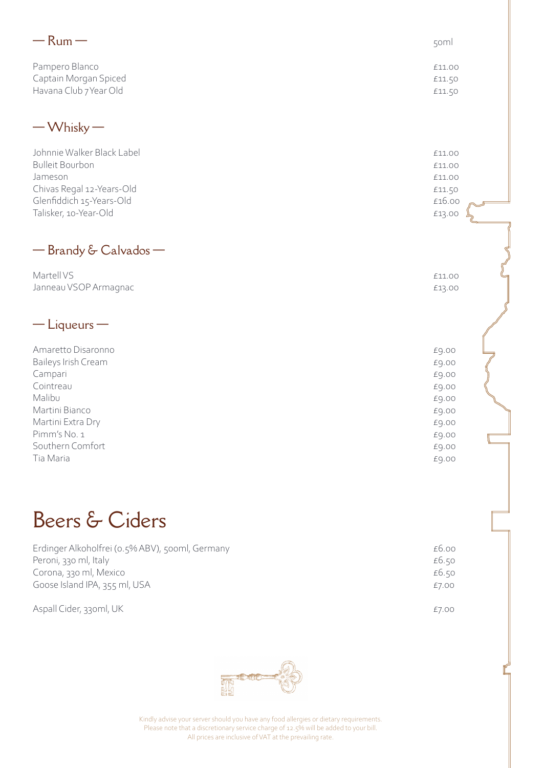| $-$ Rum $-$                                                                                                                                                         | 50ml                                                                                   |  |
|---------------------------------------------------------------------------------------------------------------------------------------------------------------------|----------------------------------------------------------------------------------------|--|
| Pampero Blanco<br>Captain Morgan Spiced<br>Havana Club 7 Year Old                                                                                                   | £11.00<br>£11.50<br>£11.50                                                             |  |
| $-W$ hisky $-$                                                                                                                                                      |                                                                                        |  |
| Johnnie Walker Black Label<br><b>Bulleit Bourbon</b><br>Jameson<br>Chivas Regal 12-Years-Old<br>Glenfiddich 15-Years-Old<br>Talisker, 10-Year-Old                   | £11.00<br>£11.00<br>£11.00<br>£11.50<br>£16.00<br>£13.00                               |  |
| - Brandy & Calvados -                                                                                                                                               |                                                                                        |  |
| Martell VS<br>Janneau VSOP Armagnac                                                                                                                                 | £11.00<br>£13.00                                                                       |  |
| $-$ Liqueurs $-$                                                                                                                                                    |                                                                                        |  |
| Amaretto Disaronno<br>Baileys Irish Cream<br>Campari<br>Cointreau<br>Malibu<br>Martini Bianco<br>Martini Extra Dry<br>Pimm's No. 1<br>Southern Comfort<br>Tia Maria | £9.00<br>£9.00<br>£9.00<br>£9.00<br>£9.00<br>£9.00<br>£9.00<br>£9.00<br>£9.00<br>£9.00 |  |
| Beers & Ciders                                                                                                                                                      |                                                                                        |  |
| Erdinger Alkoholfrei (o.5% ABV), 500ml, Germany<br>Peroni, 330 ml, Italy<br>Corona, 330 ml, Mexico<br>Goose Island IPA, 355 ml, USA                                 | £6.00<br>£6.50<br>£6.50<br>£7.00                                                       |  |
| Aspall Cider, 33oml, UK                                                                                                                                             | £7.00                                                                                  |  |

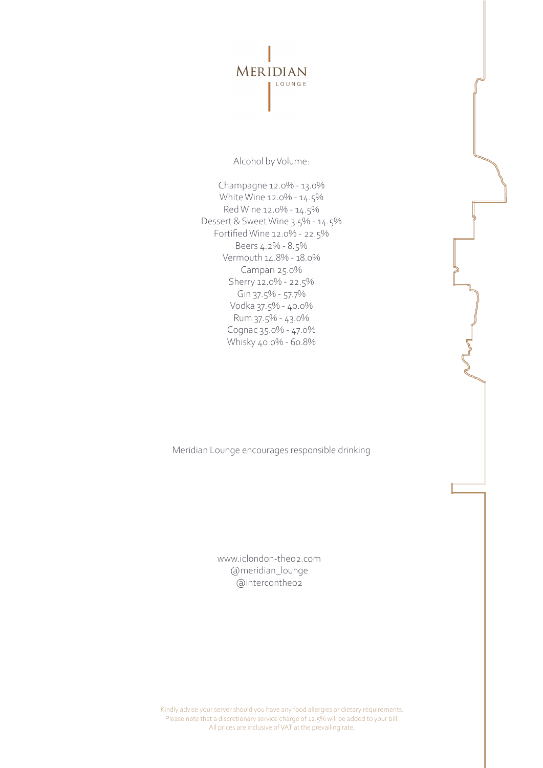

Alcohol by Volume:

Champagne 12.0% - 13.0% White Wine 12.0% - 14.5% Red Wine 12.0% - 14.5% Dessert & Sweet Wine 3.5% - 14.5% Fortified Wine 12.0% - 22.5% Beers 4.2% - 8.5% Vermouth 14.8% - 18.0% Campari 25.0% Sherry 12.0% - 22.5% Gin 37.5% - 57.7% Vodka 37.5% - 40.0% Rum 37.5% - 43.0% Cognac 35.0% - 47.0% Whisky 40.0% - 60.8%

Meridian Lounge encourages responsible drinking

www.iclondon-theo2.com @meridian\_lounge @intercontheo2